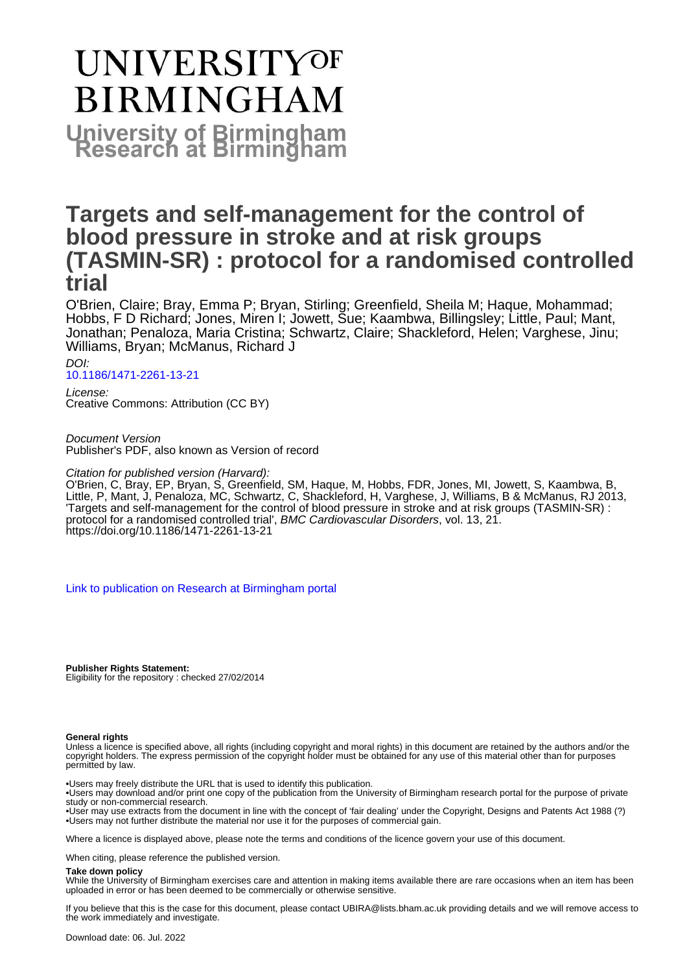# **UNIVERSITYOF BIRMINGHAM University of Birmingham**

### **Targets and self-management for the control of blood pressure in stroke and at risk groups (TASMIN-SR) : protocol for a randomised controlled trial**

O'Brien, Claire; Bray, Emma P; Bryan, Stirling; Greenfield, Sheila M; Haque, Mohammad; Hobbs, F D Richard; Jones, Miren I; Jowett, Sue; Kaambwa, Billingsley; Little, Paul; Mant, Jonathan; Penaloza, Maria Cristina; Schwartz, Claire; Shackleford, Helen; Varghese, Jinu; Williams, Bryan; McManus, Richard J

DOI:

#### [10.1186/1471-2261-13-21](https://doi.org/10.1186/1471-2261-13-21)

License: Creative Commons: Attribution (CC BY)

Document Version Publisher's PDF, also known as Version of record

#### Citation for published version (Harvard):

O'Brien, C, Bray, EP, Bryan, S, Greenfield, SM, Haque, M, Hobbs, FDR, Jones, MI, Jowett, S, Kaambwa, B, Little, P, Mant, J, Penaloza, MC, Schwartz, C, Shackleford, H, Varghese, J, Williams, B & McManus, RJ 2013, 'Targets and self-management for the control of blood pressure in stroke and at risk groups (TASMIN-SR) : protocol for a randomised controlled trial', BMC Cardiovascular Disorders, vol. 13, 21. <https://doi.org/10.1186/1471-2261-13-21>

[Link to publication on Research at Birmingham portal](https://birmingham.elsevierpure.com/en/publications/4e926917-c7cd-4962-af63-ed3f2a95b332)

**Publisher Rights Statement:** Eligibility for the repository : checked 27/02/2014

#### **General rights**

Unless a licence is specified above, all rights (including copyright and moral rights) in this document are retained by the authors and/or the copyright holders. The express permission of the copyright holder must be obtained for any use of this material other than for purposes permitted by law.

• Users may freely distribute the URL that is used to identify this publication.

• Users may download and/or print one copy of the publication from the University of Birmingham research portal for the purpose of private study or non-commercial research.

• User may use extracts from the document in line with the concept of 'fair dealing' under the Copyright, Designs and Patents Act 1988 (?) • Users may not further distribute the material nor use it for the purposes of commercial gain.

Where a licence is displayed above, please note the terms and conditions of the licence govern your use of this document.

When citing, please reference the published version.

#### **Take down policy**

While the University of Birmingham exercises care and attention in making items available there are rare occasions when an item has been uploaded in error or has been deemed to be commercially or otherwise sensitive.

If you believe that this is the case for this document, please contact UBIRA@lists.bham.ac.uk providing details and we will remove access to the work immediately and investigate.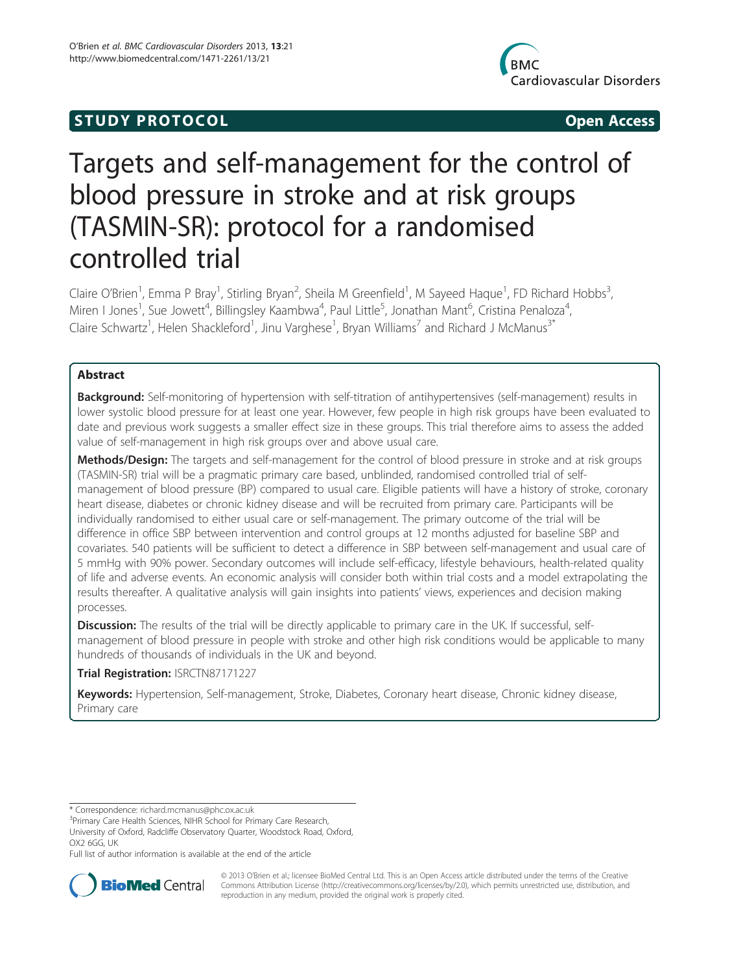### **STUDY PROTOCOL CONSUMING THE STUDY PROTOCOL**



## Targets and self-management for the control of blood pressure in stroke and at risk groups (TASMIN-SR): protocol for a randomised controlled trial

Claire O'Brien<sup>1</sup>, Emma P Bray<sup>1</sup>, Stirling Bryan<sup>2</sup>, Sheila M Greenfield<sup>1</sup>, M Sayeed Haque<sup>1</sup>, FD Richard Hobbs<sup>3</sup> , Miren I Jones<sup>1</sup>, Sue Jowett<sup>4</sup>, Billingsley Kaambwa<sup>4</sup>, Paul Little<sup>5</sup>, Jonathan Mant<sup>6</sup>, Cristina Penaloza<sup>4</sup> , Claire Schwartz<sup>1</sup>, Helen Shackleford<sup>1</sup>, Jinu Varghese<sup>1</sup>, Bryan Williams<sup>7</sup> and Richard J McManus<sup>3\*</sup>

#### Abstract

**Background:** Self-monitoring of hypertension with self-titration of antihypertensives (self-management) results in lower systolic blood pressure for at least one year. However, few people in high risk groups have been evaluated to date and previous work suggests a smaller effect size in these groups. This trial therefore aims to assess the added value of self-management in high risk groups over and above usual care.

Methods/Design: The targets and self-management for the control of blood pressure in stroke and at risk groups (TASMIN-SR) trial will be a pragmatic primary care based, unblinded, randomised controlled trial of selfmanagement of blood pressure (BP) compared to usual care. Eligible patients will have a history of stroke, coronary heart disease, diabetes or chronic kidney disease and will be recruited from primary care. Participants will be individually randomised to either usual care or self-management. The primary outcome of the trial will be difference in office SBP between intervention and control groups at 12 months adjusted for baseline SBP and covariates. 540 patients will be sufficient to detect a difference in SBP between self-management and usual care of 5 mmHg with 90% power. Secondary outcomes will include self-efficacy, lifestyle behaviours, health-related quality of life and adverse events. An economic analysis will consider both within trial costs and a model extrapolating the results thereafter. A qualitative analysis will gain insights into patients' views, experiences and decision making processes.

**Discussion:** The results of the trial will be directly applicable to primary care in the UK. If successful, selfmanagement of blood pressure in people with stroke and other high risk conditions would be applicable to many hundreds of thousands of individuals in the UK and beyond.

Trial Registration: [ISRCTN87171227](http://www.controlled-trials.com/ISRCTN87171227)

Keywords: Hypertension, Self-management, Stroke, Diabetes, Coronary heart disease, Chronic kidney disease, Primary care

\* Correspondence: [richard.mcmanus@phc.ox.ac.uk](mailto:richard.mcmanus@phc.ox.ac.uk) <sup>3</sup>

<sup>3</sup>Primary Care Health Sciences, NIHR School for Primary Care Research,

University of Oxford, Radcliffe Observatory Quarter, Woodstock Road, Oxford, OX2 6GG, UK

Full list of author information is available at the end of the article



© 2013 O'Brien et al.; licensee BioMed Central Ltd. This is an Open Access article distributed under the terms of the Creative Commons Attribution License [\(http://creativecommons.org/licenses/by/2.0\)](http://creativecommons.org/licenses/by/2.0), which permits unrestricted use, distribution, and reproduction in any medium, provided the original work is properly cited.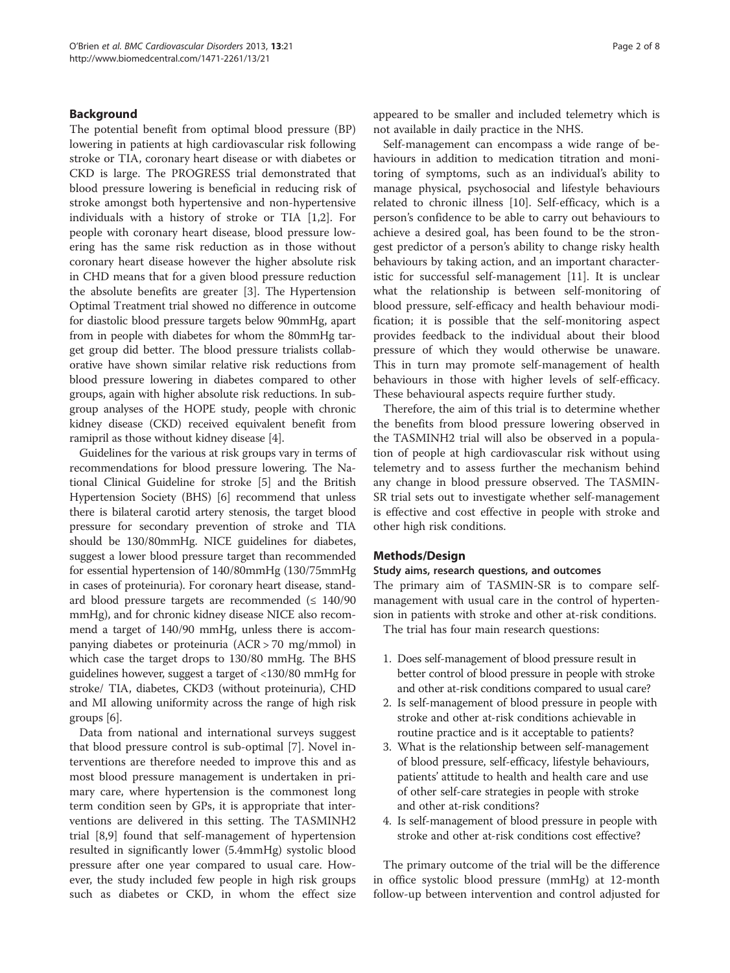#### Background

The potential benefit from optimal blood pressure (BP) lowering in patients at high cardiovascular risk following stroke or TIA, coronary heart disease or with diabetes or CKD is large. The PROGRESS trial demonstrated that blood pressure lowering is beneficial in reducing risk of stroke amongst both hypertensive and non-hypertensive individuals with a history of stroke or TIA [\[1,2](#page-7-0)]. For people with coronary heart disease, blood pressure lowering has the same risk reduction as in those without coronary heart disease however the higher absolute risk in CHD means that for a given blood pressure reduction the absolute benefits are greater [[3\]](#page-7-0). The Hypertension Optimal Treatment trial showed no difference in outcome for diastolic blood pressure targets below 90mmHg, apart from in people with diabetes for whom the 80mmHg target group did better. The blood pressure trialists collaborative have shown similar relative risk reductions from blood pressure lowering in diabetes compared to other groups, again with higher absolute risk reductions. In subgroup analyses of the HOPE study, people with chronic kidney disease (CKD) received equivalent benefit from ramipril as those without kidney disease [\[4\]](#page-7-0).

Guidelines for the various at risk groups vary in terms of recommendations for blood pressure lowering. The National Clinical Guideline for stroke [\[5](#page-7-0)] and the British Hypertension Society (BHS) [\[6](#page-7-0)] recommend that unless there is bilateral carotid artery stenosis, the target blood pressure for secondary prevention of stroke and TIA should be 130/80mmHg. NICE guidelines for diabetes, suggest a lower blood pressure target than recommended for essential hypertension of 140/80mmHg (130/75mmHg in cases of proteinuria). For coronary heart disease, standard blood pressure targets are recommended  $( \leq 140/90)$ mmHg), and for chronic kidney disease NICE also recommend a target of 140/90 mmHg, unless there is accompanying diabetes or proteinuria (ACR > 70 mg/mmol) in which case the target drops to 130/80 mmHg. The BHS guidelines however, suggest a target of <130/80 mmHg for stroke/ TIA, diabetes, CKD3 (without proteinuria), CHD and MI allowing uniformity across the range of high risk groups [[6](#page-7-0)].

Data from national and international surveys suggest that blood pressure control is sub-optimal [\[7\]](#page-7-0). Novel interventions are therefore needed to improve this and as most blood pressure management is undertaken in primary care, where hypertension is the commonest long term condition seen by GPs, it is appropriate that interventions are delivered in this setting. The TASMINH2 trial [[8,9\]](#page-7-0) found that self-management of hypertension resulted in significantly lower (5.4mmHg) systolic blood pressure after one year compared to usual care. However, the study included few people in high risk groups such as diabetes or CKD, in whom the effect size appeared to be smaller and included telemetry which is not available in daily practice in the NHS.

Self-management can encompass a wide range of behaviours in addition to medication titration and monitoring of symptoms, such as an individual's ability to manage physical, psychosocial and lifestyle behaviours related to chronic illness [[10](#page-8-0)]. Self-efficacy, which is a person's confidence to be able to carry out behaviours to achieve a desired goal, has been found to be the strongest predictor of a person's ability to change risky health behaviours by taking action, and an important characteristic for successful self-management [[11\]](#page-8-0). It is unclear what the relationship is between self-monitoring of blood pressure, self-efficacy and health behaviour modification; it is possible that the self-monitoring aspect provides feedback to the individual about their blood pressure of which they would otherwise be unaware. This in turn may promote self-management of health behaviours in those with higher levels of self-efficacy. These behavioural aspects require further study.

Therefore, the aim of this trial is to determine whether the benefits from blood pressure lowering observed in the TASMINH2 trial will also be observed in a population of people at high cardiovascular risk without using telemetry and to assess further the mechanism behind any change in blood pressure observed. The TASMIN-SR trial sets out to investigate whether self-management is effective and cost effective in people with stroke and other high risk conditions.

#### Methods/Design

#### Study aims, research questions, and outcomes

The primary aim of TASMIN-SR is to compare selfmanagement with usual care in the control of hypertension in patients with stroke and other at-risk conditions.

The trial has four main research questions:

- 1. Does self-management of blood pressure result in better control of blood pressure in people with stroke and other at-risk conditions compared to usual care?
- 2. Is self-management of blood pressure in people with stroke and other at-risk conditions achievable in routine practice and is it acceptable to patients?
- 3. What is the relationship between self-management of blood pressure, self-efficacy, lifestyle behaviours, patients' attitude to health and health care and use of other self-care strategies in people with stroke and other at-risk conditions?
- 4. Is self-management of blood pressure in people with stroke and other at-risk conditions cost effective?

The primary outcome of the trial will be the difference in office systolic blood pressure (mmHg) at 12-month follow-up between intervention and control adjusted for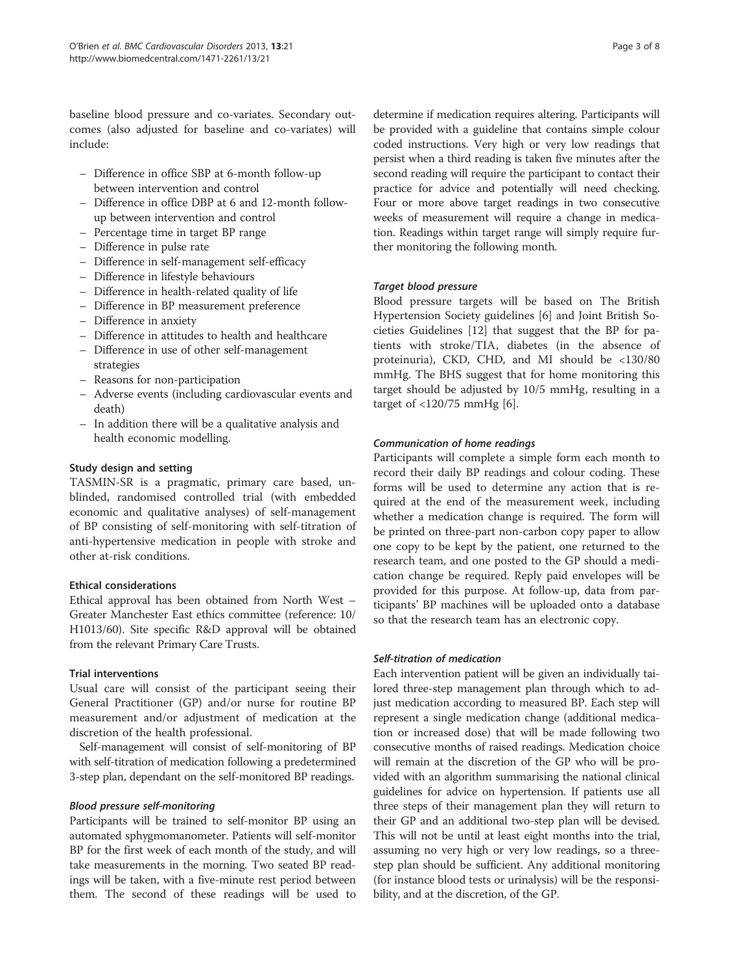baseline blood pressure and co-variates. Secondary outcomes (also adjusted for baseline and co-variates) will include:

- Difference in office SBP at 6-month follow-up between intervention and control
- Difference in office DBP at 6 and 12-month followup between intervention and control
- Percentage time in target BP range
- Difference in pulse rate
- Difference in self-management self-efficacy
- Difference in lifestyle behaviours
- Difference in health-related quality of life
- Difference in BP measurement preference
- Difference in anxiety
- Difference in attitudes to health and healthcare
- Difference in use of other self-management strategies
- Reasons for non-participation
- Adverse events (including cardiovascular events and death)
- In addition there will be a qualitative analysis and health economic modelling.

#### Study design and setting

TASMIN-SR is a pragmatic, primary care based, unblinded, randomised controlled trial (with embedded economic and qualitative analyses) of self-management of BP consisting of self-monitoring with self-titration of anti-hypertensive medication in people with stroke and other at-risk conditions.

#### Ethical considerations

Ethical approval has been obtained from North West – Greater Manchester East ethics committee (reference: 10/ H1013/60). Site specific R&D approval will be obtained from the relevant Primary Care Trusts.

#### Trial interventions

Usual care will consist of the participant seeing their General Practitioner (GP) and/or nurse for routine BP measurement and/or adjustment of medication at the discretion of the health professional.

Self-management will consist of self-monitoring of BP with self-titration of medication following a predetermined 3-step plan, dependant on the self-monitored BP readings.

#### Blood pressure self-monitoring

Participants will be trained to self-monitor BP using an automated sphygmomanometer. Patients will self-monitor BP for the first week of each month of the study, and will take measurements in the morning. Two seated BP readings will be taken, with a five-minute rest period between them. The second of these readings will be used to

determine if medication requires altering. Participants will be provided with a guideline that contains simple colour coded instructions. Very high or very low readings that persist when a third reading is taken five minutes after the second reading will require the participant to contact their practice for advice and potentially will need checking. Four or more above target readings in two consecutive weeks of measurement will require a change in medication. Readings within target range will simply require further monitoring the following month.

#### Target blood pressure

Blood pressure targets will be based on The British Hypertension Society guidelines [[6\]](#page-7-0) and Joint British Societies Guidelines [[12\]](#page-8-0) that suggest that the BP for patients with stroke/TIA, diabetes (in the absence of proteinuria), CKD, CHD, and MI should be <130/80 mmHg. The BHS suggest that for home monitoring this target should be adjusted by 10/5 mmHg, resulting in a target of <120/75 mmHg [\[6](#page-7-0)].

#### Communication of home readings

Participants will complete a simple form each month to record their daily BP readings and colour coding. These forms will be used to determine any action that is required at the end of the measurement week, including whether a medication change is required. The form will be printed on three-part non-carbon copy paper to allow one copy to be kept by the patient, one returned to the research team, and one posted to the GP should a medication change be required. Reply paid envelopes will be provided for this purpose. At follow-up, data from participants' BP machines will be uploaded onto a database so that the research team has an electronic copy.

#### Self-titration of medication

Each intervention patient will be given an individually tailored three-step management plan through which to adjust medication according to measured BP. Each step will represent a single medication change (additional medication or increased dose) that will be made following two consecutive months of raised readings. Medication choice will remain at the discretion of the GP who will be provided with an algorithm summarising the national clinical guidelines for advice on hypertension. If patients use all three steps of their management plan they will return to their GP and an additional two-step plan will be devised. This will not be until at least eight months into the trial, assuming no very high or very low readings, so a threestep plan should be sufficient. Any additional monitoring (for instance blood tests or urinalysis) will be the responsibility, and at the discretion, of the GP.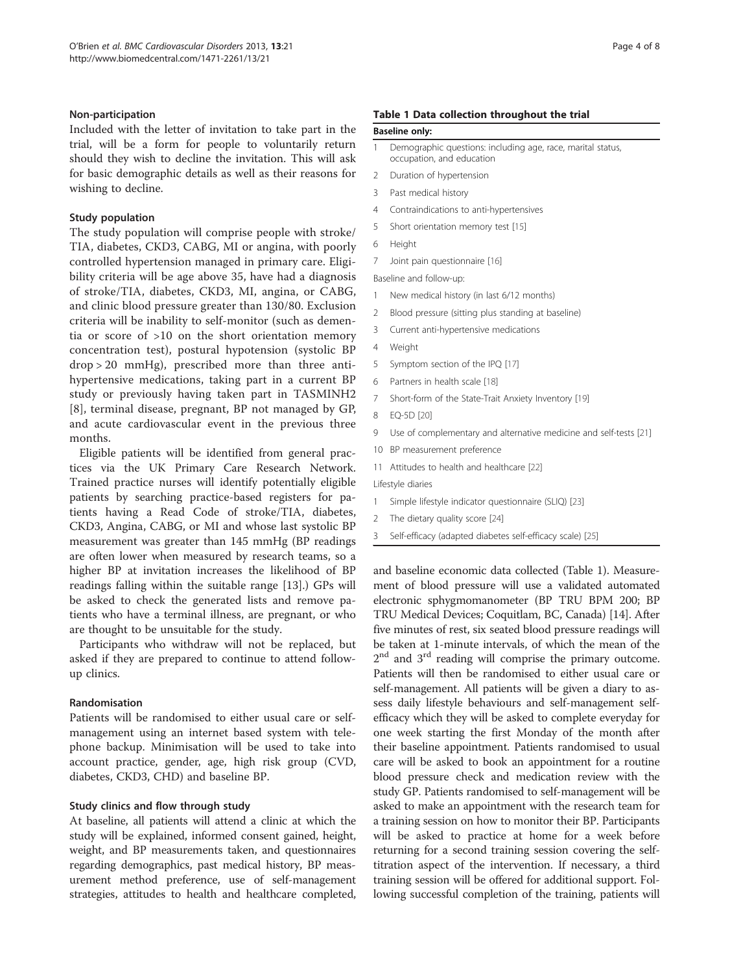#### Non-participation

Included with the letter of invitation to take part in the trial, will be a form for people to voluntarily return should they wish to decline the invitation. This will ask for basic demographic details as well as their reasons for wishing to decline.

#### Study population

The study population will comprise people with stroke/ TIA, diabetes, CKD3, CABG, MI or angina, with poorly controlled hypertension managed in primary care. Eligibility criteria will be age above 35, have had a diagnosis of stroke/TIA, diabetes, CKD3, MI, angina, or CABG, and clinic blood pressure greater than 130/80. Exclusion criteria will be inability to self-monitor (such as dementia or score of >10 on the short orientation memory concentration test), postural hypotension (systolic BP drop > 20 mmHg), prescribed more than three antihypertensive medications, taking part in a current BP study or previously having taken part in TASMINH2 [[8\]](#page-7-0), terminal disease, pregnant, BP not managed by GP, and acute cardiovascular event in the previous three months.

Eligible patients will be identified from general practices via the UK Primary Care Research Network. Trained practice nurses will identify potentially eligible patients by searching practice-based registers for patients having a Read Code of stroke/TIA, diabetes, CKD3, Angina, CABG, or MI and whose last systolic BP measurement was greater than 145 mmHg (BP readings are often lower when measured by research teams, so a higher BP at invitation increases the likelihood of BP readings falling within the suitable range [[13\]](#page-8-0).) GPs will be asked to check the generated lists and remove patients who have a terminal illness, are pregnant, or who are thought to be unsuitable for the study.

Participants who withdraw will not be replaced, but asked if they are prepared to continue to attend followup clinics.

#### Randomisation

Patients will be randomised to either usual care or selfmanagement using an internet based system with telephone backup. Minimisation will be used to take into account practice, gender, age, high risk group (CVD, diabetes, CKD3, CHD) and baseline BP.

#### Study clinics and flow through study

At baseline, all patients will attend a clinic at which the study will be explained, informed consent gained, height, weight, and BP measurements taken, and questionnaires regarding demographics, past medical history, BP measurement method preference, use of self-management strategies, attitudes to health and healthcare completed,

#### Table 1 Data collection throughout the trial

#### Baseline only:

- 1 Demographic questions: including age, race, marital status, occupation, and education
- 2 Duration of hypertension
- 3 Past medical history
- 4 Contraindications to anti-hypertensives
- 5 Short orientation memory test [\[15\]](#page-8-0)
- 6 Height
- 7 Joint pain questionnaire [\[16\]](#page-8-0)

Baseline and follow-up:

- 1 New medical history (in last 6/12 months)
- 2 Blood pressure (sitting plus standing at baseline)
- 3 Current anti-hypertensive medications
- 4 Weight
- 5 Symptom section of the IPQ [\[17\]](#page-8-0)
- 6 Partners in health scale [[18\]](#page-8-0)
- 7 Short-form of the State-Trait Anxiety Inventory [\[19](#page-8-0)]
- 8 EQ-5D [\[20\]](#page-8-0)
- 9 Use of complementary and alternative medicine and self-tests [\[21\]](#page-8-0)
- 10 BP measurement preference
- 11 Attitudes to health and healthcare [\[22\]](#page-8-0)

Lifestyle diaries

- 1 Simple lifestyle indicator questionnaire (SLIQ) [\[23\]](#page-8-0)
- 2 The dietary quality score [\[24](#page-8-0)]
- 3 Self-efficacy (adapted diabetes self-efficacy scale) [[25\]](#page-8-0)

and baseline economic data collected (Table 1). Measurement of blood pressure will use a validated automated electronic sphygmomanometer (BP TRU BPM 200; BP TRU Medical Devices; Coquitlam, BC, Canada) [\[14](#page-8-0)]. After five minutes of rest, six seated blood pressure readings will be taken at 1-minute intervals, of which the mean of the  $2<sup>nd</sup>$  and  $3<sup>rd</sup>$  reading will comprise the primary outcome. Patients will then be randomised to either usual care or self-management. All patients will be given a diary to assess daily lifestyle behaviours and self-management selfefficacy which they will be asked to complete everyday for one week starting the first Monday of the month after their baseline appointment. Patients randomised to usual care will be asked to book an appointment for a routine blood pressure check and medication review with the study GP. Patients randomised to self-management will be asked to make an appointment with the research team for a training session on how to monitor their BP. Participants will be asked to practice at home for a week before returning for a second training session covering the selftitration aspect of the intervention. If necessary, a third training session will be offered for additional support. Following successful completion of the training, patients will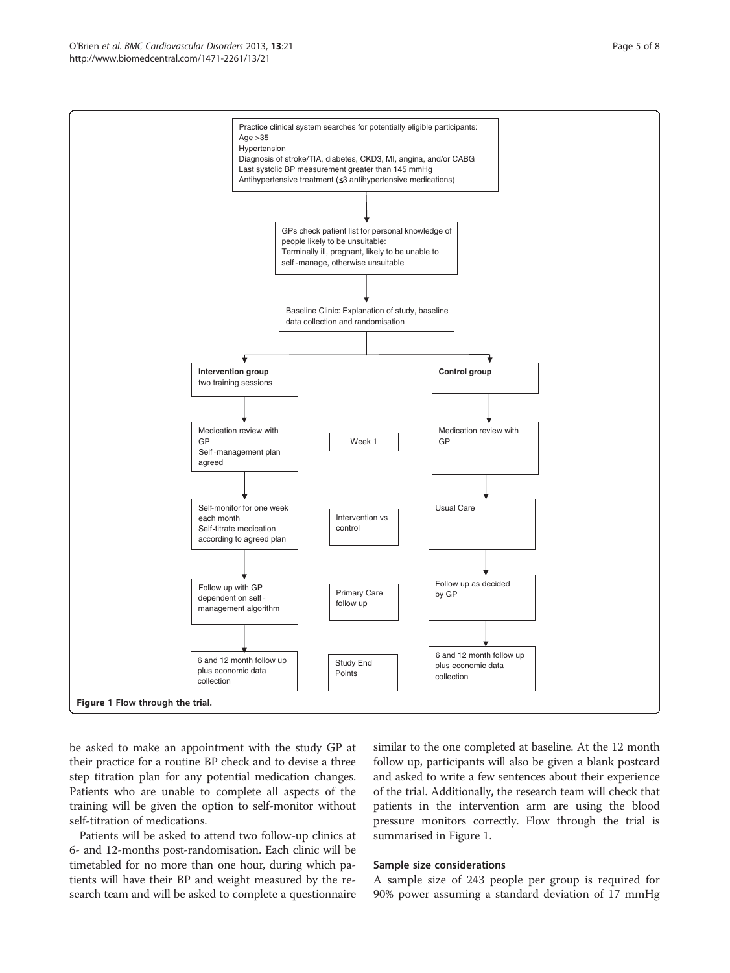

be asked to make an appointment with the study GP at their practice for a routine BP check and to devise a three step titration plan for any potential medication changes. Patients who are unable to complete all aspects of the training will be given the option to self-monitor without self-titration of medications.

Patients will be asked to attend two follow-up clinics at 6- and 12-months post-randomisation. Each clinic will be timetabled for no more than one hour, during which patients will have their BP and weight measured by the research team and will be asked to complete a questionnaire

similar to the one completed at baseline. At the 12 month follow up, participants will also be given a blank postcard and asked to write a few sentences about their experience of the trial. Additionally, the research team will check that patients in the intervention arm are using the blood pressure monitors correctly. Flow through the trial is summarised in Figure 1.

#### Sample size considerations

A sample size of 243 people per group is required for 90% power assuming a standard deviation of 17 mmHg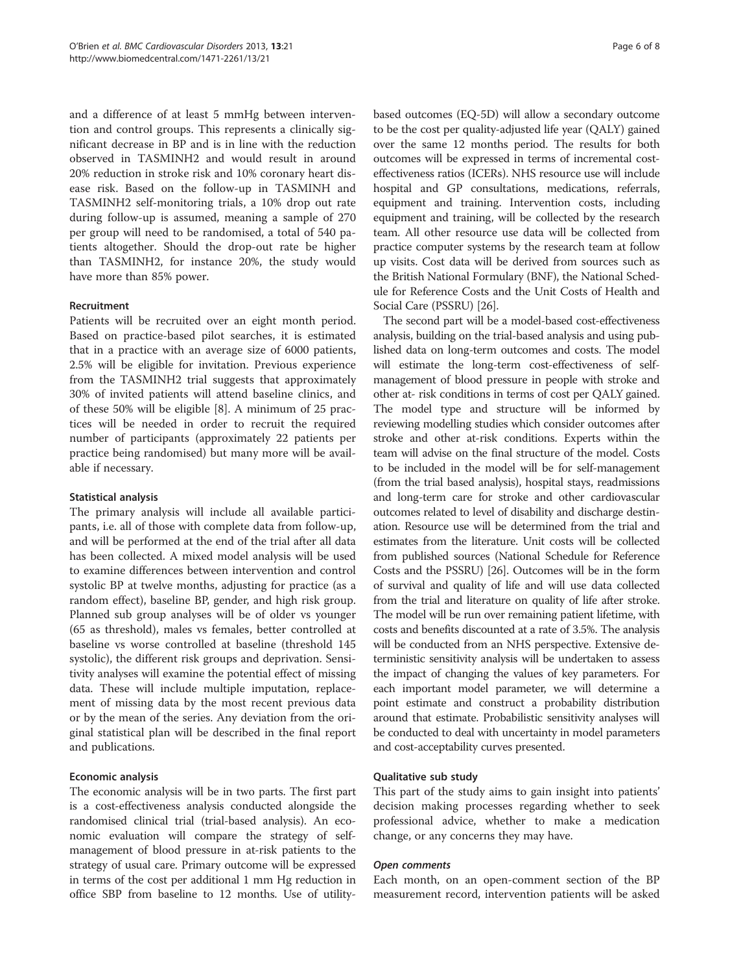and a difference of at least 5 mmHg between intervention and control groups. This represents a clinically significant decrease in BP and is in line with the reduction observed in TASMINH2 and would result in around 20% reduction in stroke risk and 10% coronary heart disease risk. Based on the follow-up in TASMINH and TASMINH2 self-monitoring trials, a 10% drop out rate during follow-up is assumed, meaning a sample of 270 per group will need to be randomised, a total of 540 patients altogether. Should the drop-out rate be higher than TASMINH2, for instance 20%, the study would have more than 85% power.

#### Recruitment

Patients will be recruited over an eight month period. Based on practice-based pilot searches, it is estimated that in a practice with an average size of 6000 patients, 2.5% will be eligible for invitation. Previous experience from the TASMINH2 trial suggests that approximately 30% of invited patients will attend baseline clinics, and of these 50% will be eligible [[8\]](#page-7-0). A minimum of 25 practices will be needed in order to recruit the required number of participants (approximately 22 patients per practice being randomised) but many more will be available if necessary.

#### Statistical analysis

The primary analysis will include all available participants, i.e. all of those with complete data from follow-up, and will be performed at the end of the trial after all data has been collected. A mixed model analysis will be used to examine differences between intervention and control systolic BP at twelve months, adjusting for practice (as a random effect), baseline BP, gender, and high risk group. Planned sub group analyses will be of older vs younger (65 as threshold), males vs females, better controlled at baseline vs worse controlled at baseline (threshold 145 systolic), the different risk groups and deprivation. Sensitivity analyses will examine the potential effect of missing data. These will include multiple imputation, replacement of missing data by the most recent previous data or by the mean of the series. Any deviation from the original statistical plan will be described in the final report and publications.

#### Economic analysis

The economic analysis will be in two parts. The first part is a cost-effectiveness analysis conducted alongside the randomised clinical trial (trial-based analysis). An economic evaluation will compare the strategy of selfmanagement of blood pressure in at-risk patients to the strategy of usual care. Primary outcome will be expressed in terms of the cost per additional 1 mm Hg reduction in office SBP from baseline to 12 months. Use of utility-

based outcomes (EQ-5D) will allow a secondary outcome to be the cost per quality-adjusted life year (QALY) gained over the same 12 months period. The results for both outcomes will be expressed in terms of incremental costeffectiveness ratios (ICERs). NHS resource use will include hospital and GP consultations, medications, referrals, equipment and training. Intervention costs, including equipment and training, will be collected by the research team. All other resource use data will be collected from practice computer systems by the research team at follow up visits. Cost data will be derived from sources such as the British National Formulary (BNF), the National Schedule for Reference Costs and the Unit Costs of Health and Social Care (PSSRU) [\[26\]](#page-8-0).

The second part will be a model-based cost-effectiveness analysis, building on the trial-based analysis and using published data on long-term outcomes and costs. The model will estimate the long-term cost-effectiveness of selfmanagement of blood pressure in people with stroke and other at- risk conditions in terms of cost per QALY gained. The model type and structure will be informed by reviewing modelling studies which consider outcomes after stroke and other at-risk conditions. Experts within the team will advise on the final structure of the model. Costs to be included in the model will be for self-management (from the trial based analysis), hospital stays, readmissions and long-term care for stroke and other cardiovascular outcomes related to level of disability and discharge destination. Resource use will be determined from the trial and estimates from the literature. Unit costs will be collected from published sources (National Schedule for Reference Costs and the PSSRU) [[26](#page-8-0)]. Outcomes will be in the form of survival and quality of life and will use data collected from the trial and literature on quality of life after stroke. The model will be run over remaining patient lifetime, with costs and benefits discounted at a rate of 3.5%. The analysis will be conducted from an NHS perspective. Extensive deterministic sensitivity analysis will be undertaken to assess the impact of changing the values of key parameters. For each important model parameter, we will determine a point estimate and construct a probability distribution around that estimate. Probabilistic sensitivity analyses will be conducted to deal with uncertainty in model parameters and cost-acceptability curves presented.

#### Qualitative sub study

This part of the study aims to gain insight into patients' decision making processes regarding whether to seek professional advice, whether to make a medication change, or any concerns they may have.

#### Open comments

Each month, on an open-comment section of the BP measurement record, intervention patients will be asked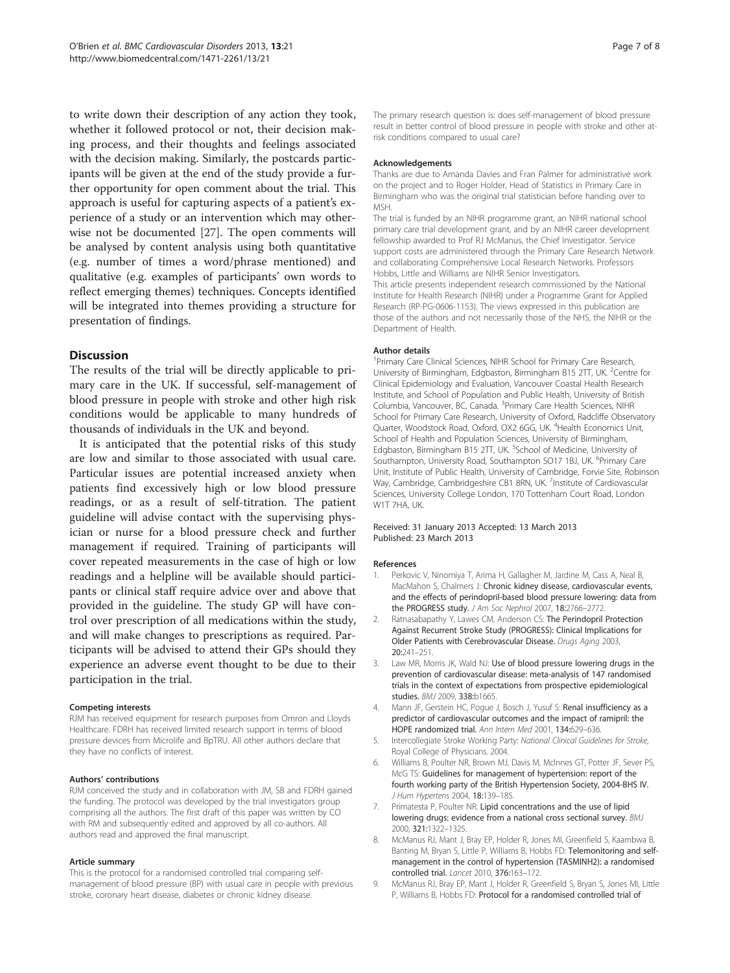<span id="page-7-0"></span>to write down their description of any action they took, whether it followed protocol or not, their decision making process, and their thoughts and feelings associated with the decision making. Similarly, the postcards participants will be given at the end of the study provide a further opportunity for open comment about the trial. This approach is useful for capturing aspects of a patient's experience of a study or an intervention which may otherwise not be documented [[27](#page-8-0)]. The open comments will be analysed by content analysis using both quantitative (e.g. number of times a word/phrase mentioned) and qualitative (e.g. examples of participants' own words to reflect emerging themes) techniques. Concepts identified will be integrated into themes providing a structure for presentation of findings.

#### **Discussion**

The results of the trial will be directly applicable to primary care in the UK. If successful, self-management of blood pressure in people with stroke and other high risk conditions would be applicable to many hundreds of thousands of individuals in the UK and beyond.

It is anticipated that the potential risks of this study are low and similar to those associated with usual care. Particular issues are potential increased anxiety when patients find excessively high or low blood pressure readings, or as a result of self-titration. The patient guideline will advise contact with the supervising physician or nurse for a blood pressure check and further management if required. Training of participants will cover repeated measurements in the case of high or low readings and a helpline will be available should participants or clinical staff require advice over and above that provided in the guideline. The study GP will have control over prescription of all medications within the study, and will make changes to prescriptions as required. Participants will be advised to attend their GPs should they experience an adverse event thought to be due to their participation in the trial.

#### Competing interests

RJM has received equipment for research purposes from Omron and Lloyds Healthcare. FDRH has received limited research support in terms of blood pressure devices from Microlife and BpTRU. All other authors declare that they have no conflicts of interest.

#### Authors' contributions

RJM conceived the study and in collaboration with JM, SB and FDRH gained the funding. The protocol was developed by the trial investigators group comprising all the authors. The first draft of this paper was written by CO with RM and subsequently edited and approved by all co-authors. All authors read and approved the final manuscript.

#### Article summary

This is the protocol for a randomised controlled trial comparing selfmanagement of blood pressure (BP) with usual care in people with previous stroke, coronary heart disease, diabetes or chronic kidney disease.

The primary research question is: does self-management of blood pressure result in better control of blood pressure in people with stroke and other atrisk conditions compared to usual care?

#### Acknowledgements

Thanks are due to Amanda Davies and Fran Palmer for administrative work on the project and to Roger Holder, Head of Statistics in Primary Care in Birmingham who was the original trial statistician before handing over to MSH.

The trial is funded by an NIHR programme grant, an NIHR national school primary care trial development grant, and by an NIHR career development fellowship awarded to Prof RJ McManus, the Chief Investigator. Service support costs are administered through the Primary Care Research Network and collaborating Comprehensive Local Research Networks. Professors Hobbs, Little and Williams are NIHR Senior Investigators.

This article presents independent research commissioned by the National Institute for Health Research (NIHR) under a Programme Grant for Applied Research (RP-PG-0606-1153). The views expressed in this publication are those of the authors and not necessarily those of the NHS, the NIHR or the Department of Health.

#### Author details

<sup>1</sup> Primary Care Clinical Sciences, NIHR School for Primary Care Research, University of Birmingham, Edgbaston, Birmingham B15 2TT, UK. <sup>2</sup>Centre for Clinical Epidemiology and Evaluation, Vancouver Coastal Health Research Institute, and School of Population and Public Health, University of British Columbia, Vancouver, BC, Canada. <sup>3</sup> Primary Care Health Sciences, NIHR School for Primary Care Research, University of Oxford, Radcliffe Observatory Quarter, Woodstock Road, Oxford, OX2 6GG, UK. <sup>4</sup>Health Economics Unit School of Health and Population Sciences, University of Birmingham, Edgbaston, Birmingham B15 2TT, UK. <sup>5</sup>School of Medicine, University of Southampton, University Road, Southampton SO17 1BJ, UK. <sup>6</sup>Primary Care Unit, Institute of Public Health, University of Cambridge, Forvie Site, Robinson Way, Cambridge, Cambridgeshire CB1 8RN, UK.<sup>7</sup> Institute of Cardiovascular Sciences, University College London, 170 Tottenham Court Road, London W1T 7HA, UK.

#### Received: 31 January 2013 Accepted: 13 March 2013 Published: 23 March 2013

#### References

- 1. Perkovic V, Ninomiya T, Arima H, Gallagher M, Jardine M, Cass A, Neal B, MacMahon S, Chalmers J: Chronic kidney disease, cardiovascular events, and the effects of perindopril-based blood pressure lowering: data from the PROGRESS study. J Am Soc Nephrol 2007, 18:2766–2772.
- 2. Ratnasabapathy Y, Lawes CM, Anderson CS: The Perindopril Protection Against Recurrent Stroke Study (PROGRESS): Clinical Implications for Older Patients with Cerebrovascular Disease. Drugs Aging 2003, 20:241–251.
- 3. Law MR, Morris JK, Wald NJ: Use of blood pressure lowering drugs in the prevention of cardiovascular disease: meta-analysis of 147 randomised trials in the context of expectations from prospective epidemiological studies. BMJ 2009, 338:b1665
- 4. Mann JF, Gerstein HC, Pogue J, Bosch J, Yusuf S: Renal insufficiency as a predictor of cardiovascular outcomes and the impact of ramipril: the HOPE randomized trial. Ann Intern Med 2001, 134:629–636.
- 5. Intercollegiate Stroke Working Party: National Clinical Guidelines for Stroke, Royal College of Physicians. 2004.
- 6. Williams B, Poulter NR, Brown MJ, Davis M, McInnes GT, Potter JF, Sever PS, McG TS: Guidelines for management of hypertension: report of the fourth working party of the British Hypertension Society, 2004-BHS IV. J Hum Hypertens 2004, 18:139–185.
- 7. Primatesta P, Poulter NR: Lipid concentrations and the use of lipid lowering drugs: evidence from a national cross sectional survey. BMJ 2000, 321:1322–1325.
- 8. McManus RJ, Mant J, Bray EP, Holder R, Jones MI, Greenfield S, Kaambwa B, Banting M, Bryan S, Little P, Williams B, Hobbs FD: Telemonitoring and selfmanagement in the control of hypertension (TASMINH2): a randomised controlled trial. Lancet 2010, 376:163–172.
- 9. McManus RJ, Bray EP, Mant J, Holder R, Greenfield S, Bryan S, Jones MI, Little P, Williams B, Hobbs FD: Protocol for a randomised controlled trial of